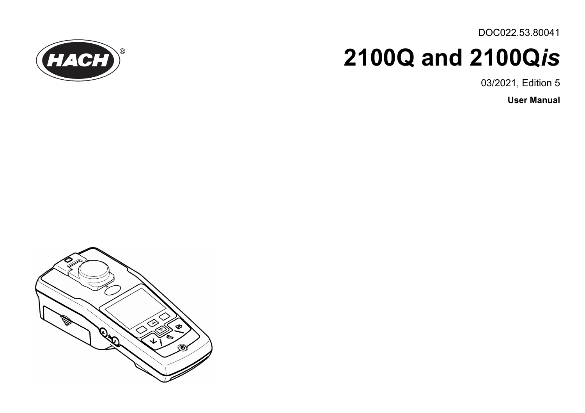DOC022.53.80041

# 2100Q and 2100Qis

03/2021, Edition 5

**User Manual** 



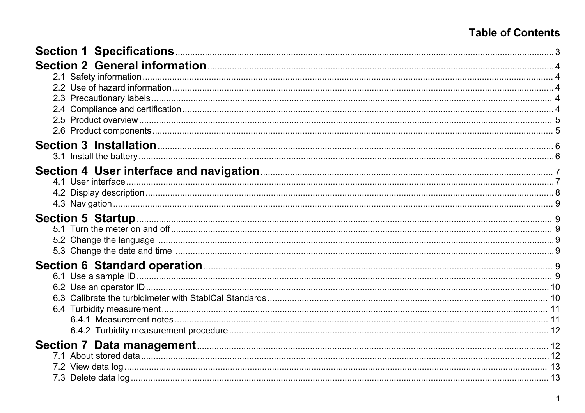# **Table of Contents**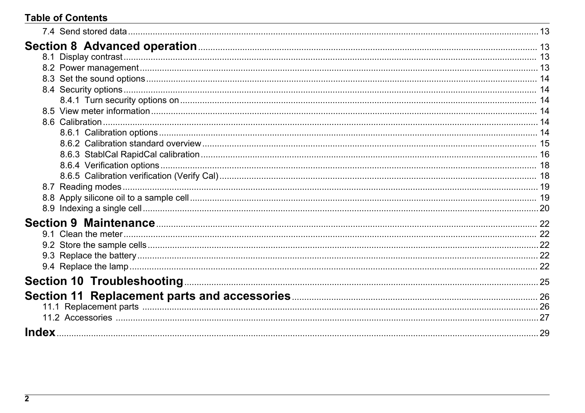### **Table of Contents**

| Index |  |
|-------|--|
|       |  |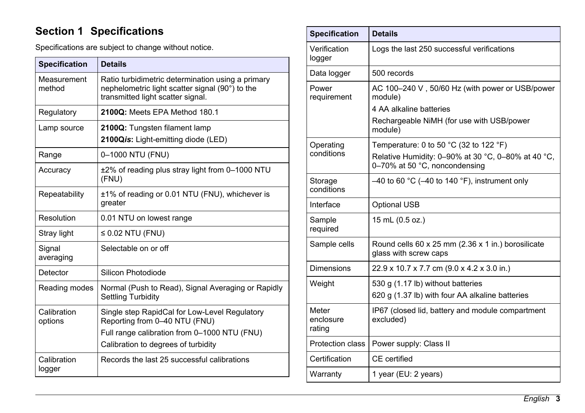# <span id="page-4-0"></span>**Section 1 Specifications**

Specifications are subject to change without notice.

| <b>Specification</b>   | <b>Details</b>                                                                                                                            |
|------------------------|-------------------------------------------------------------------------------------------------------------------------------------------|
| Measurement<br>method  | Ratio turbidimetric determination using a primary<br>nephelometric light scatter signal (90°) to the<br>transmitted light scatter signal. |
| Regulatory             | 21000: Meets FPA Method 180 1                                                                                                             |
| Lamp source            | 2100Q: Tungsten filament lamp<br>2100Qis: Light-emitting diode (LED)                                                                      |
| Range                  | 0-1000 NTU (FNU)                                                                                                                          |
| Accuracy               | ±2% of reading plus stray light from 0-1000 NTU<br>(FNU)                                                                                  |
| Repeatability          | ±1% of reading or 0.01 NTU (FNU), whichever is<br>greater                                                                                 |
| Resolution             | 0.01 NTU on lowest range                                                                                                                  |
| Stray light            | $\leq$ 0.02 NTU (FNU)                                                                                                                     |
| Signal<br>averaging    | Selectable on or off                                                                                                                      |
| Detector               | Silicon Photodiode                                                                                                                        |
| Reading modes          | Normal (Push to Read), Signal Averaging or Rapidly<br><b>Settling Turbidity</b>                                                           |
| Calibration<br>options | Single step RapidCal for Low-Level Regulatory<br>Reporting from 0-40 NTU (FNU)                                                            |
|                        | Full range calibration from 0-1000 NTU (FNU)                                                                                              |
|                        | Calibration to degrees of turbidity                                                                                                       |
| Calibration<br>logger  | Records the last 25 successful calibrations                                                                                               |

| <b>Specification</b>         | <b>Details</b>                                                                      |
|------------------------------|-------------------------------------------------------------------------------------|
| Verification<br>logger       | Logs the last 250 successful verifications                                          |
| Data logger                  | 500 records                                                                         |
| Power<br>requirement         | AC 100-240 V, 50/60 Hz (with power or USB/power<br>module)                          |
|                              | 4 AA alkaline batteries                                                             |
|                              | Rechargeable NiMH (for use with USB/power<br>module)                                |
| Operating                    | Temperature: 0 to 50 $^{\circ}$ C (32 to 122 $^{\circ}$ F)                          |
| conditions                   | Relative Humidity: 0-90% at 30 °C, 0-80% at 40 °C,<br>0-70% at 50 °C, noncondensing |
| Storage<br>conditions        | $-40$ to 60 °C ( $-40$ to 140 °F), instrument only                                  |
| Interface                    | Optional USB                                                                        |
| Sample<br>required           | 15 mL (0.5 oz.)                                                                     |
| Sample cells                 | Round cells 60 x 25 mm (2.36 x 1 in.) borosilicate<br>glass with screw caps         |
| <b>Dimensions</b>            | 22.9 x 10.7 x 7.7 cm (9.0 x 4.2 x 3.0 in.)                                          |
| Weight                       | 530 g (1.17 lb) without batteries                                                   |
|                              | 620 g (1.37 lb) with four AA alkaline batteries                                     |
| Meter<br>enclosure<br>rating | IP67 (closed lid, battery and module compartment<br>excluded)                       |
| Protection class             | Power supply: Class II                                                              |
| Certification                | CE certified                                                                        |
| Warranty                     | 1 year (EU: 2 years)                                                                |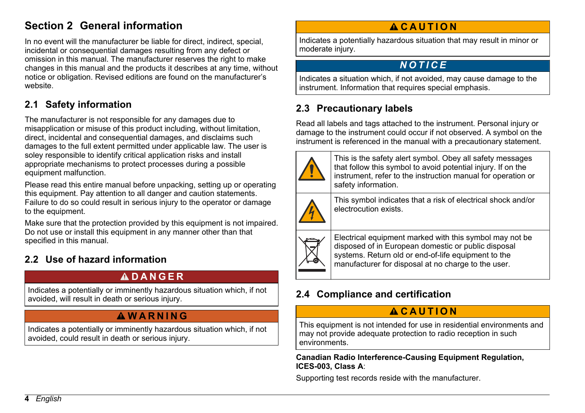# <span id="page-5-0"></span>**Section 2 General information**

In no event will the manufacturer be liable for direct, indirect, special, incidental or consequential damages resulting from any defect or omission in this manual. The manufacturer reserves the right to make changes in this manual and the products it describes at any time, without notice or obligation. Revised editions are found on the manufacturer's website.

### **2.1 Safety information**

The manufacturer is not responsible for any damages due to misapplication or misuse of this product including, without limitation, direct, incidental and consequential damages, and disclaims such damages to the full extent permitted under applicable law. The user is soley responsible to identify critical application risks and install appropriate mechanisms to protect processes during a possible equipment malfunction.

Please read this entire manual before unpacking, setting up or operating this equipment. Pay attention to all danger and caution statements. Failure to do so could result in serious injury to the operator or damage to the equipment.

Make sure that the protection provided by this equipment is not impaired. Do not use or install this equipment in any manner other than that specified in this manual.

### **2.2 Use of hazard information**

#### **D A N G E R**

Indicates a potentially or imminently hazardous situation which, if not avoided, will result in death or serious injury.

### **W A R N I N G**

Indicates a potentially or imminently hazardous situation which, if not avoided, could result in death or serious injury.

#### **C A U T I O N**

Indicates a potentially hazardous situation that may result in minor or moderate injury.

#### *N O T I C E*

Indicates a situation which, if not avoided, may cause damage to the instrument. Information that requires special emphasis.

### **2.3 Precautionary labels**

Read all labels and tags attached to the instrument. Personal injury or damage to the instrument could occur if not observed. A symbol on the instrument is referenced in the manual with a precautionary statement.



This is the safety alert symbol. Obey all safety messages that follow this symbol to avoid potential injury. If on the instrument, refer to the instruction manual for operation or safety information.



This symbol indicates that a risk of electrical shock and/or electrocution exists.



Electrical equipment marked with this symbol may not be disposed of in European domestic or public disposal systems. Return old or end-of-life equipment to the manufacturer for disposal at no charge to the user.

# **2.4 Compliance and certification**

#### **C A U T I O N**

This equipment is not intended for use in residential environments and may not provide adequate protection to radio reception in such environments.

**Canadian Radio Interference-Causing Equipment Regulation, ICES-003, Class A**:

Supporting test records reside with the manufacturer.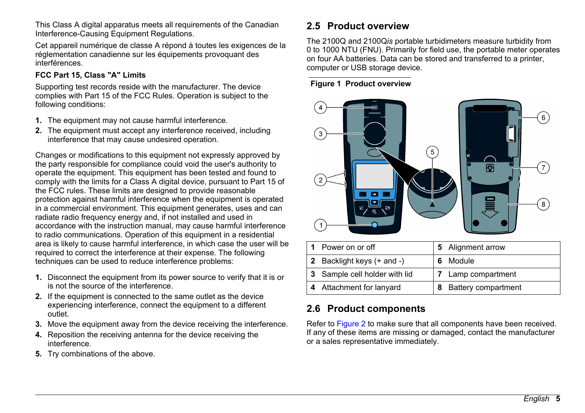<span id="page-6-0"></span>This Class A digital apparatus meets all requirements of the Canadian Interference-Causing Equipment Regulations.

Cet appareil numérique de classe A répond à toutes les exigences de la réglementation canadienne sur les équipements provoquant des interférences.

#### **FCC Part 15, Class "A" Limits**

Supporting test records reside with the manufacturer. The device complies with Part 15 of the FCC Rules. Operation is subject to the following conditions:

- **1.** The equipment may not cause harmful interference.
- **2.** The equipment must accept any interference received, including interference that may cause undesired operation.

Changes or modifications to this equipment not expressly approved by the party responsible for compliance could void the user's authority to operate the equipment. This equipment has been tested and found to comply with the limits for a Class A digital device, pursuant to Part 15 of the FCC rules. These limits are designed to provide reasonable protection against harmful interference when the equipment is operated in a commercial environment. This equipment generates, uses and can radiate radio frequency energy and, if not installed and used in accordance with the instruction manual, may cause harmful interference to radio communications. Operation of this equipment in a residential area is likely to cause harmful interference, in which case the user will be required to correct the interference at their expense. The following techniques can be used to reduce interference problems:

- **1.** Disconnect the equipment from its power source to verify that it is or is not the source of the interference.
- **2.** If the equipment is connected to the same outlet as the device experiencing interference, connect the equipment to a different outlet.
- **3.** Move the equipment away from the device receiving the interference.
- **4.** Reposition the receiving antenna for the device receiving the interference.
- **5.** Try combinations of the above.

#### **2.5 Product overview**

The 2100Q and 2100Q*is* portable turbidimeters measure turbidity from 0 to 1000 NTU (FNU). Primarily for field use, the portable meter operates on four AA batteries. Data can be stored and transferred to a printer, computer or USB storage device.

#### **Figure 1 Product overview**



#### **2.6 Product components**

Refer to [Figure 2](#page-7-0) to make sure that all components have been received. If any of these items are missing or damaged, contact the manufacturer or a sales representative immediately.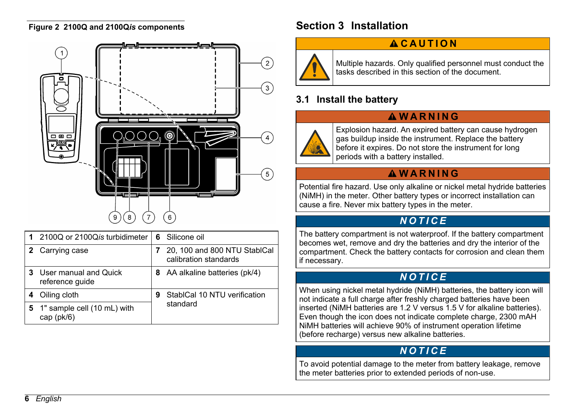#### <span id="page-7-0"></span>**Figure 2 2100Q and 2100Q***is* **components**



|   | 2100Q or 2100Qis turbidimeter                      | 6 | Silicone oil                                          |
|---|----------------------------------------------------|---|-------------------------------------------------------|
|   | 2 Carrying case                                    |   | 20, 100 and 800 NTU StablCal<br>calibration standards |
|   | User manual and Quick<br>reference guide           |   | 8 AA alkaline batteries (pk/4)                        |
|   | Oiling cloth                                       |   | StablCal 10 NTU verification                          |
| 5 | 1" sample cell (10 mL) with<br>cap $(\text{pk}/6)$ |   | standard                                              |

# **Section 3 Installation**

### **C A U T I O N**



Multiple hazards. Only qualified personnel must conduct the tasks described in this section of the document.

#### **3.1 Install the battery**



Explosion hazard. An expired battery can cause hydrogen gas buildup inside the instrument. Replace the battery before it expires. Do not store the instrument for long periods with a battery installed.

#### **W A R N I N G**

**W A R N I N G**

Potential fire hazard. Use only alkaline or nickel metal hydride batteries (NiMH) in the meter. Other battery types or incorrect installation can cause a fire. Never mix battery types in the meter.

#### *N O T I C E*

The battery compartment is not waterproof. If the battery compartment becomes wet, remove and dry the batteries and dry the interior of the compartment. Check the battery contacts for corrosion and clean them if necessary.

#### *N O T I C E*

When using nickel metal hydride (NiMH) batteries, the battery icon will not indicate a full charge after freshly charged batteries have been inserted (NiMH batteries are 1.2 V versus 1.5 V for alkaline batteries). Even though the icon does not indicate complete charge, 2300 mAH NiMH batteries will achieve 90% of instrument operation lifetime (before recharge) versus new alkaline batteries.

# *N O T I C E*

To avoid potential damage to the meter from battery leakage, remove the meter batteries prior to extended periods of non-use.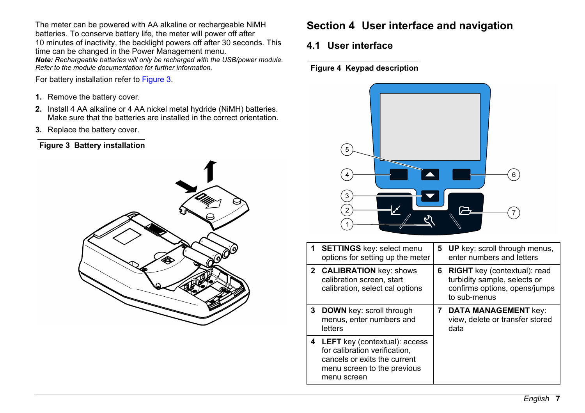<span id="page-8-0"></span>The meter can be powered with AA alkaline or rechargeable NiMH batteries. To conserve battery life, the meter will power off after 10 minutes of inactivity, the backlight powers off after 30 seconds. This time can be changed in the Power Management menu. *Note: Rechargeable batteries will only be recharged with the USB/power module. Refer to the module documentation for further information.*

For battery installation refer to Figure 3.

- **1.** Remove the battery cover.
- **2.** Install 4 AA alkaline or 4 AA nickel metal hydride (NiMH) batteries. Make sure that the batteries are installed in the correct orientation.
- **3.** Replace the battery cover.

#### **Figure 3 Battery installation**



### **Section 4 User interface and navigation**

#### **4.1 User interface**

#### **Figure 4 Keypad description**



|   | <b>SETTINGS</b> key: select menu<br>options for setting up the meter                                                                                  | <b>5</b> UP key: scroll through menus,<br>enter numbers and letters                                                    |
|---|-------------------------------------------------------------------------------------------------------------------------------------------------------|------------------------------------------------------------------------------------------------------------------------|
|   | 2 CALIBRATION key: shows<br>calibration screen, start<br>calibration, select cal options                                                              | <b>6 RIGHT</b> key (contextual): read<br>turbidity sample, selects or<br>confirms options, opens/jumps<br>to sub-menus |
| 3 | <b>DOWN</b> key: scroll through<br>menus, enter numbers and<br>letters                                                                                | 7 DATA MANAGEMENT key:<br>view, delete or transfer stored<br>data                                                      |
|   | <b>4 LEFT</b> key (contextual): access<br>for calibration verification.<br>cancels or exits the current<br>menu screen to the previous<br>menu screen |                                                                                                                        |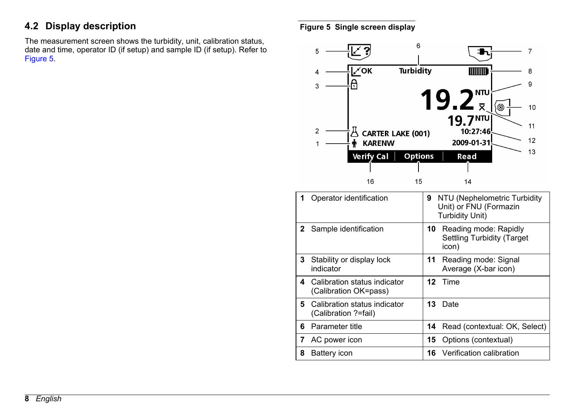### <span id="page-9-0"></span>**4.2 Display description**

The measurement screen shows the turbidity, unit, calibration status, date and time, operator ID (if setup) and sample ID (if setup). Refer to Figure 5.

#### **Figure 5 Single screen display**



|    | Operator identification                               | 9  | NTU (Nephelometric Turbidity<br>Unit) or FNU (Formazin<br>Turbidity Unit) |
|----|-------------------------------------------------------|----|---------------------------------------------------------------------------|
|    | <b>2</b> Sample identification                        | 10 | Reading mode: Rapidly<br>Settling Turbidity (Target<br>icon)              |
| 3  | Stability or display lock<br>indicator                | 11 | Reading mode: Signal<br>Average (X-bar icon)                              |
| 4  | Calibration status indicator<br>(Calibration OK=pass) |    | 12 Time                                                                   |
| 5. | Calibration status indicator<br>(Calibration ?=fail)  | 13 | Date                                                                      |
| 6  | Parameter title                                       | 14 | Read (contextual: OK, Select)                                             |
| 7  | AC power icon                                         | 15 | Options (contextual)                                                      |
| 8  | Battery icon                                          | 16 | Verification calibration                                                  |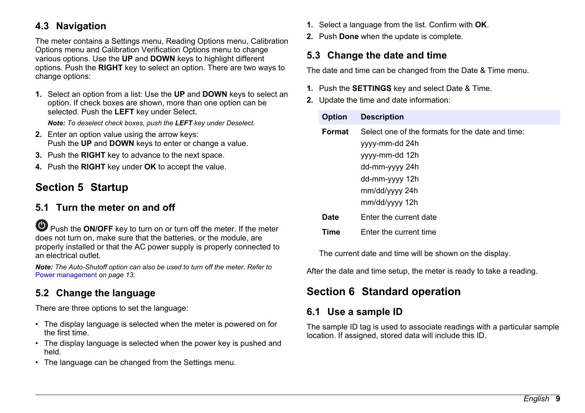### <span id="page-10-0"></span>**4.3 Navigation**

The meter contains a Settings menu, Reading Options menu, Calibration Options menu and Calibration Verification Options menu to change various options. Use the **UP** and **DOWN** keys to highlight different options. Push the **RIGHT** key to select an option. There are two ways to change options:

**1.** Select an option from a list: Use the **UP** and **DOWN** keys to select an option. If check boxes are shown, more than one option can be selected. Push the **LEFT** key under Select.

*Note: To deselect check boxes, push the LEFT key under Deselect.*

- **2.** Enter an option value using the arrow keys: Push the **UP** and **DOWN** keys to enter or change a value.
- **3.** Push the **RIGHT** key to advance to the next space.
- **4.** Push the **RIGHT** key under **OK** to accept the value.

# **Section 5 Startup**

### **5.1 Turn the meter on and off**

Push the **ON/OFF** key to turn on or turn off the meter. If the meter does not turn on, make sure that the batteries, or the module, are properly installed or that the AC power supply is properly connected to an electrical outlet.

*Note: The Auto-Shutoff option can also be used to turn off the meter. Refer to*  [Power management](#page-14-0) *on page 13.*

### **5.2 Change the language**

There are three options to set the language:

- The display language is selected when the meter is powered on for the first time.
- The display language is selected when the power key is pushed and held.
- The language can be changed from the Settings menu.
- **1.** Select a language from the list. Confirm with **OK**.
- **2.** Push **Done** when the update is complete.

#### **5.3 Change the date and time**

The date and time can be changed from the Date & Time menu.

- **1.** Push the **SETTINGS** key and select Date & Time.
- **2.** Update the time and date information:

| <b>Option</b> | <b>Description</b>                                                                                                                                           |
|---------------|--------------------------------------------------------------------------------------------------------------------------------------------------------------|
| Format        | Select one of the formats for the date and time:<br>vyyy-mm-dd 24h<br>yyyy-mm-dd 12h<br>dd-mm-yyyy 24h<br>dd-mm-yyyy 12h<br>mm/dd/yyyy 24h<br>mm/dd/yyyy 12h |
| Date          | Enter the current date                                                                                                                                       |
| Time          | Enter the current time                                                                                                                                       |

The current date and time will be shown on the display.

After the date and time setup, the meter is ready to take a reading.

# **Section 6 Standard operation**

### **6.1 Use a sample ID**

The sample ID tag is used to associate readings with a particular sample location. If assigned, stored data will include this ID.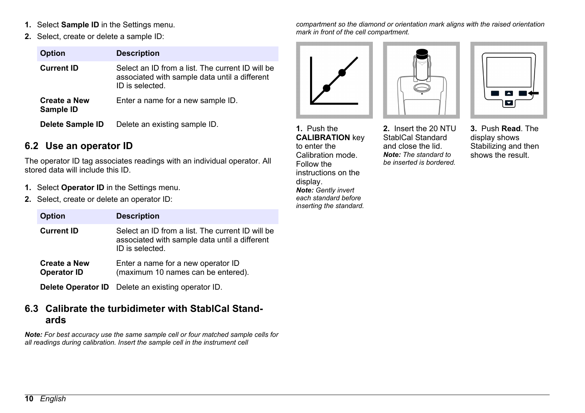- <span id="page-11-0"></span>**1.** Select **Sample ID** in the Settings menu.
- **2.** Select, create or delete a sample ID:

| <b>Option</b>                    | <b>Description</b>                                                                                                   |
|----------------------------------|----------------------------------------------------------------------------------------------------------------------|
| <b>Current ID</b>                | Select an ID from a list. The current ID will be<br>associated with sample data until a different<br>ID is selected. |
| <b>Create a New</b><br>Sample ID | Enter a name for a new sample ID.                                                                                    |
| Delete Sample ID                 | Delete an existing sample ID.                                                                                        |

#### **6.2 Use an operator ID**

The operator ID tag associates readings with an individual operator. All stored data will include this ID.

- **1.** Select **Operator ID** in the Settings menu.
- **2.** Select, create or delete an operator ID:

| <b>Option</b>                             | <b>Description</b>                                                                                                   |  |
|-------------------------------------------|----------------------------------------------------------------------------------------------------------------------|--|
| <b>Current ID</b>                         | Select an ID from a list. The current ID will be<br>associated with sample data until a different<br>ID is selected. |  |
| <b>Create a New</b><br><b>Operator ID</b> | Enter a name for a new operator ID<br>(maximum 10 names can be entered).                                             |  |
| <b>Delete Operator ID</b>                 | Delete an existing operator ID.                                                                                      |  |

- 
- **6.3 Calibrate the turbidimeter with StablCal Standards**

*Note: For best accuracy use the same sample cell or four matched sample cells for all readings during calibration. Insert the sample cell in the instrument cell*

*compartment so the diamond or orientation mark aligns with the raised orientation mark in front of the cell compartment.*



**1.** Push the **CALIBRATION** key to enter the Calibration mode. Follow the instructions on the display. *Note: Gently invert each standard before inserting the standard.*



**2.** Insert the 20 NTU StablCal Standard and close the lid. *Note: The standard to be inserted is bordered.*



**3.** Push **Read**. The display shows Stabilizing and then shows the result.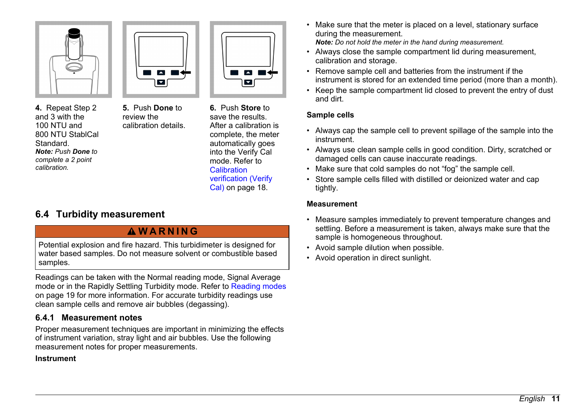<span id="page-12-0"></span>

**4.** Repeat Step 2 and 3 with the 100 NTU and 800 NTU StablCal Standard. *Note: Push Done to complete a 2 point calibration.*



**5.** Push **Done** to review the calibration details.

**6.** Push **Store** to save the results. After a calibration is complete, the meter automatically goes into the Verify Cal mode. Refer to **[Calibration](#page-19-0)** [verification \(Verify](#page-19-0) [Cal\)](#page-19-0) on page 18.

 $\blacksquare$  $\overline{\mathbf{z}}$ 

### **6.4 Turbidity measurement**

### **W A R N I N G**

Potential explosion and fire hazard. This turbidimeter is designed for water based samples. Do not measure solvent or combustible based samples.

Readings can be taken with the Normal reading mode, Signal Average mode or in the Rapidly Settling Turbidity mode. Refer to [Reading modes](#page-20-0) on page 19 for more information. For accurate turbidity readings use clean sample cells and remove air bubbles (degassing).

#### **6.4.1 Measurement notes**

Proper measurement techniques are important in minimizing the effects of instrument variation, stray light and air bubbles. Use the following measurement notes for proper measurements.

#### **Instrument**

- Make sure that the meter is placed on a level, stationary surface during the measurement. *Note: Do not hold the meter in the hand during measurement.*
- Always close the sample compartment lid during measurement, calibration and storage.
- Remove sample cell and batteries from the instrument if the instrument is stored for an extended time period (more than a month).
- Keep the sample compartment lid closed to prevent the entry of dust and dirt.

#### **Sample cells**

- Always cap the sample cell to prevent spillage of the sample into the instrument.
- Always use clean sample cells in good condition. Dirty, scratched or damaged cells can cause inaccurate readings.
- Make sure that cold samples do not "fog" the sample cell.
- Store sample cells filled with distilled or deionized water and cap tightly.

#### **Measurement**

- Measure samples immediately to prevent temperature changes and settling. Before a measurement is taken, always make sure that the sample is homogeneous throughout.
- Avoid sample dilution when possible.
- Avoid operation in direct sunlight.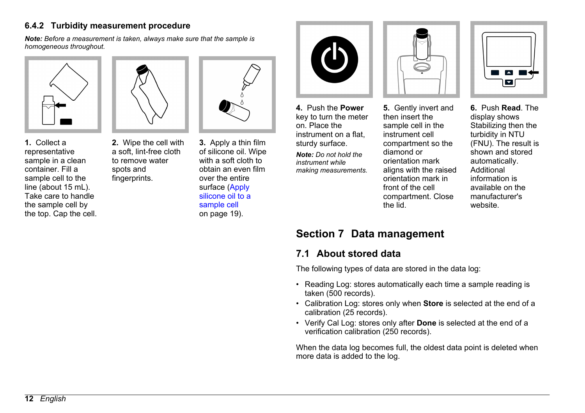#### <span id="page-13-0"></span>**6.4.2 Turbidity measurement procedure**

*Note: Before a measurement is taken, always make sure that the sample is homogeneous throughout.*







- **2.** Wipe the cell with a soft, lint-free cloth to remove water spots and fingerprints.
- 
- **3.** Apply a thin film of silicone oil. Wipe with a soft cloth to obtain an even film over the entire surface ([Apply](#page-20-0) [silicone oil to a](#page-20-0) [sample cell](#page-20-0) on page 19).



**4.** Push the **Power** key to turn the meter on. Place the instrument on a flat, sturdy surface.

*Note: Do not hold the instrument while making measurements.*

**5.** Gently invert and then insert the sample cell in the instrument cell compartment so the diamond or orientation mark aligns with the raised orientation mark in front of the cell compartment. Close the lid.



**6.** Push **Read**. The display shows Stabilizing then the turbidity in NTU (FNU). The result is shown and stored automatically. **Additional** information is available on the manufacturer's website.

### **Section 7 Data management**

#### **7.1 About stored data**

The following types of data are stored in the data log:

- Reading Log: stores automatically each time a sample reading is taken (500 records).
- Calibration Log: stores only when **Store** is selected at the end of a calibration (25 records).
- Verify Cal Log: stores only after **Done** is selected at the end of a verification calibration (250 records).

When the data log becomes full, the oldest data point is deleted when more data is added to the log.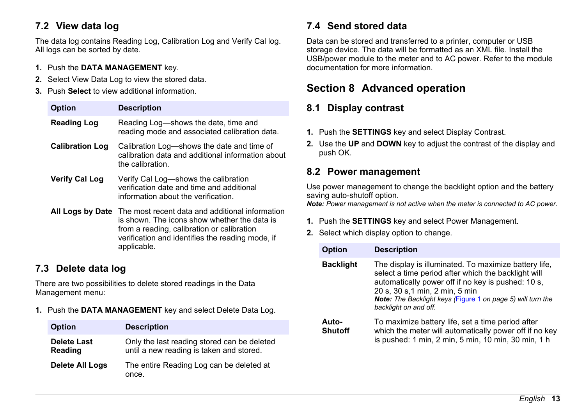### <span id="page-14-0"></span>**7.2 View data log**

The data log contains Reading Log, Calibration Log and Verify Cal log. All logs can be sorted by date.

#### **1.** Push the **DATA MANAGEMENT** key.

- **2.** Select View Data Log to view the stored data.
- **3.** Push **Select** to view additional information.

| <b>Option</b>          | <b>Description</b>                                                                                                                                                                                               |
|------------------------|------------------------------------------------------------------------------------------------------------------------------------------------------------------------------------------------------------------|
| <b>Reading Log</b>     | Reading Log—shows the date, time and<br>reading mode and associated calibration data.                                                                                                                            |
| <b>Calibration Log</b> | Calibration Log—shows the date and time of<br>calibration data and additional information about<br>the calibration.                                                                                              |
| <b>Verify Cal Log</b>  | Verify Cal Log-shows the calibration<br>verification date and time and additional<br>information about the verification.                                                                                         |
| All Logs by Date       | The most recent data and additional information<br>is shown. The icons show whether the data is<br>from a reading, calibration or calibration<br>verification and identifies the reading mode, if<br>applicable. |

#### **7.3 Delete data log**

There are two possibilities to delete stored readings in the Data Management menu:

**1.** Push the **DATA MANAGEMENT** key and select Delete Data Log.

| <b>Option</b>                 | <b>Description</b>                                                                      |
|-------------------------------|-----------------------------------------------------------------------------------------|
| <b>Delete Last</b><br>Reading | Only the last reading stored can be deleted<br>until a new reading is taken and stored. |
| <b>Delete All Logs</b>        | The entire Reading Log can be deleted at<br>once.                                       |

#### **7.4 Send stored data**

Data can be stored and transferred to a printer, computer or USB storage device. The data will be formatted as an XML file. Install the USB/power module to the meter and to AC power. Refer to the module documentation for more information.

### **Section 8 Advanced operation**

#### **8.1 Display contrast**

- **1.** Push the **SETTINGS** key and select Display Contrast.
- **2.** Use the **UP** and **DOWN** key to adjust the contrast of the display and push OK.

#### **8.2 Power management**

Use power management to change the backlight option and the battery saving auto-shutoff option.

*Note: Power management is not active when the meter is connected to AC power.*

- **1.** Push the **SETTINGS** key and select Power Management.
- **2.** Select which display option to change.

| <b>Option</b>           | <b>Description</b>                                                                                                                                                                                                                                                                                   |
|-------------------------|------------------------------------------------------------------------------------------------------------------------------------------------------------------------------------------------------------------------------------------------------------------------------------------------------|
| <b>Backlight</b>        | The display is illuminated. To maximize battery life,<br>select a time period after which the backlight will<br>automatically power off if no key is pushed: 10 s.<br>20 s, 30 s, 1 min, 2 min, 5 min<br><b>Note:</b> The Backlight keys (Figure 1 on page 5) will turn the<br>backlight on and off. |
| Auto-<br><b>Shutoff</b> | To maximize battery life, set a time period after<br>which the meter will automatically power off if no key<br>is pushed: 1 min, 2 min, 5 min, 10 min, 30 min, 1 h                                                                                                                                   |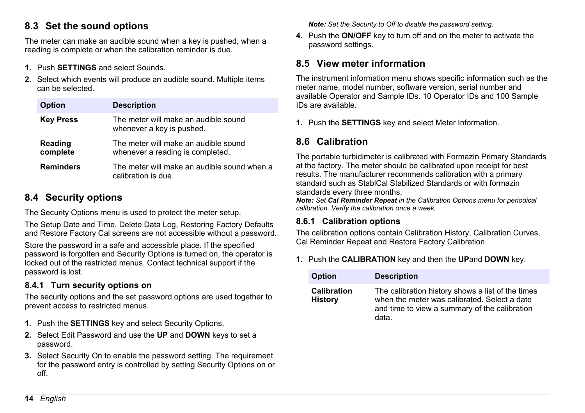#### <span id="page-15-0"></span>**8.3 Set the sound options**

The meter can make an audible sound when a key is pushed, when a reading is complete or when the calibration reminder is due.

- **1.** Push **SETTINGS** and select Sounds.
- **2.** Select which events will produce an audible sound. Multiple items can be selected.

| <b>Option</b>       | <b>Description</b>                                                       |
|---------------------|--------------------------------------------------------------------------|
| <b>Key Press</b>    | The meter will make an audible sound<br>whenever a key is pushed.        |
| Reading<br>complete | The meter will make an audible sound<br>whenever a reading is completed. |
| <b>Reminders</b>    | The meter will make an audible sound when a<br>calibration is due.       |

#### **8.4 Security options**

The Security Options menu is used to protect the meter setup.

The Setup Date and Time, Delete Data Log, Restoring Factory Defaults and Restore Factory Cal screens are not accessible without a password.

Store the password in a safe and accessible place. If the specified password is forgotten and Security Options is turned on, the operator is locked out of the restricted menus. Contact technical support if the password is lost.

#### **8.4.1 Turn security options on**

The security options and the set password options are used together to prevent access to restricted menus.

- **1.** Push the **SETTINGS** key and select Security Options.
- **2.** Select Edit Password and use the **UP** and **DOWN** keys to set a password.
- **3.** Select Security On to enable the password setting. The requirement for the password entry is controlled by setting Security Options on or off.

*Note: Set the Security to Off to disable the password setting.*

**4.** Push the **ON/OFF** key to turn off and on the meter to activate the password settings.

#### **8.5 View meter information**

The instrument information menu shows specific information such as the meter name, model number, software version, serial number and available Operator and Sample IDs. 10 Operator IDs and 100 Sample IDs are available.

**1.** Push the **SETTINGS** key and select Meter Information.

### **8.6 Calibration**

The portable turbidimeter is calibrated with Formazin Primary Standards at the factory. The meter should be calibrated upon receipt for best results. The manufacturer recommends calibration with a primary standard such as StablCal Stabilized Standards or with formazin standards every three months.

*Note: Set Cal Reminder Repeat in the Calibration Options menu for periodical calibration. Verify the calibration once a week.*

#### **8.6.1 Calibration options**

The calibration options contain Calibration History, Calibration Curves, Cal Reminder Repeat and Restore Factory Calibration.

**1.** Push the **CALIBRATION** key and then the **UP**and **DOWN** key.

| <b>Option</b>                 | <b>Description</b>                                                                                                                                          |
|-------------------------------|-------------------------------------------------------------------------------------------------------------------------------------------------------------|
| <b>Calibration</b><br>History | The calibration history shows a list of the times<br>when the meter was calibrated. Select a date<br>and time to view a summary of the calibration<br>data. |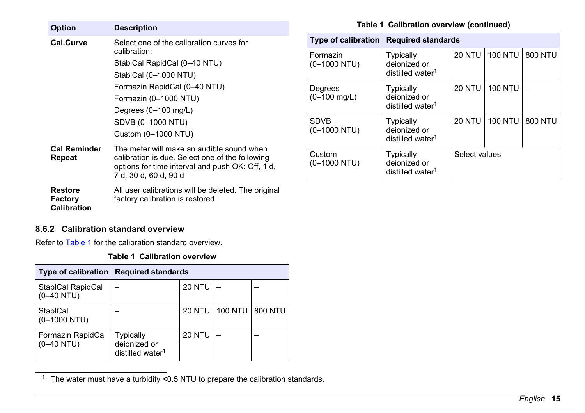<span id="page-16-0"></span>

| <b>Option</b>                     | <b>Description</b>                                                                                                                                                        |
|-----------------------------------|---------------------------------------------------------------------------------------------------------------------------------------------------------------------------|
| <b>Cal Curve</b>                  | Select one of the calibration curves for<br>calibration:                                                                                                                  |
|                                   | StablCal RapidCal (0-40 NTU)                                                                                                                                              |
|                                   | StablCal (0-1000 NTU)                                                                                                                                                     |
|                                   | Formazin RapidCal (0-40 NTU)                                                                                                                                              |
|                                   | Formazin (0-1000 NTU)                                                                                                                                                     |
|                                   | Degrees $(0-100 \text{ mg/L})$                                                                                                                                            |
|                                   | SDVB (0-1000 NTU)                                                                                                                                                         |
|                                   | Custom (0-1000 NTU)                                                                                                                                                       |
| <b>Cal Reminder</b><br>Repeat     | The meter will make an audible sound when<br>calibration is due. Select one of the following<br>options for time interval and push OK: Off, 1 d,<br>7 d. 30 d. 60 d. 90 d |
| Restore<br>Factory<br>Calibration | All user calibrations will be deleted. The original<br>factory calibration is restored.                                                                                   |

#### **8.6.2 Calibration standard overview**

Refer to Table 1 for the calibration standard overview.

#### **Table 1 Calibration overview**

|                                   | Type of calibration   Required standards                  |               |                  |         |
|-----------------------------------|-----------------------------------------------------------|---------------|------------------|---------|
| StablCal RapidCal<br>$(0-40$ NTU) |                                                           | <b>20 NTU</b> |                  |         |
| StablCal<br>$(0-1000 NTU)$        |                                                           |               | 20 NTU   100 NTU | 800 NTU |
| Formazin RapidCal<br>$(0-40$ NTU) | Typically<br>deionized or<br>distilled water <sup>1</sup> | <b>20 NTU</b> |                  |         |

<sup>&</sup>lt;sup>1</sup> The water must have a turbidity < 0.5 NTU to prepare the calibration standards.

#### **Table 1 Calibration overview (continued)**

| Type of calibration               | <b>Required standards</b>                                 |               |                |         |
|-----------------------------------|-----------------------------------------------------------|---------------|----------------|---------|
| Formazin<br>(0-1000 NTU)          | Typically<br>deionized or<br>distilled water <sup>1</sup> | <b>20 NTU</b> | <b>100 NTU</b> | 800 NTU |
| Degrees<br>$(0-100 \text{ mg/L})$ | Typically<br>deionized or<br>distilled water <sup>1</sup> | <b>20 NTU</b> | <b>100 NTU</b> |         |
| <b>SDVB</b><br>(0-1000 NTU)       | Typically<br>deionized or<br>distilled water <sup>1</sup> | 20 NTU        | <b>100 NTU</b> | 800 NTU |
| Custom<br>(0-1000 NTU)            | Typically<br>deionized or<br>distilled water <sup>1</sup> | Select values |                |         |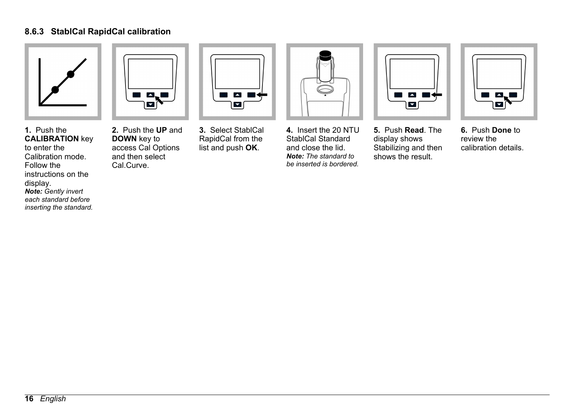#### <span id="page-17-0"></span>**8.6.3 StablCal RapidCal calibration**





**1.** Push the **CALIBRATION** key to enter the Calibration mode. Follow the instructions on the display. *Note: Gently invert each standard before inserting the standard.*

**2.** Push the **UP** and **DOWN** key to access Cal Options and then select Cal.Curve.



**3.** Select StablCal RapidCal from the list and push **OK**.



**4.** Insert the 20 NTU StablCal Standard and close the lid. *Note: The standard to be inserted is bordered.*



**5.** Push **Read**. The display shows Stabilizing and then shows the result.



**6.** Push **Done** to review the calibration details.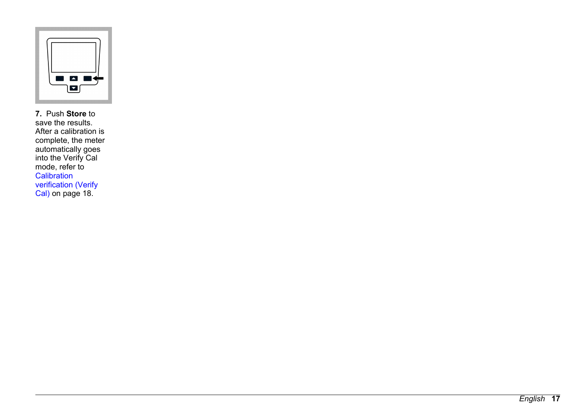

**7.** Push **Store** to save the results. After a calibration is complete, the meter automatically goes into the Verify Cal mode, refer to **[Calibration](#page-19-0)** [verification \(Verify](#page-19-0) [Cal\)](#page-19-0) on page 18.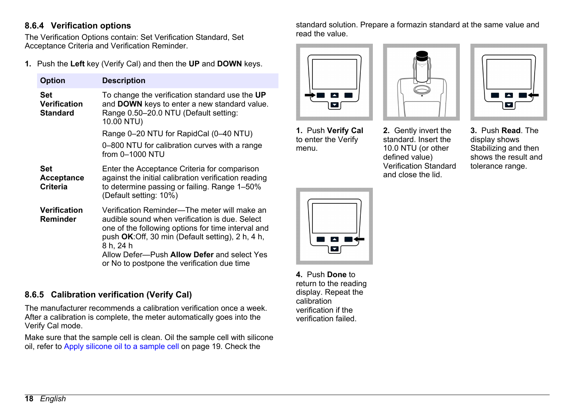#### <span id="page-19-0"></span>**8.6.4 Verification options**

The Verification Options contain: Set Verification Standard, Set Acceptance Criteria and Verification Reminder.

**1.** Push the **Left** key (Verify Cal) and then the **UP** and **DOWN** keys.

| <b>Option</b>                          | <b>Description</b>                                                                                                                                                                                                                                                                                                  |
|----------------------------------------|---------------------------------------------------------------------------------------------------------------------------------------------------------------------------------------------------------------------------------------------------------------------------------------------------------------------|
| Set<br>Verification<br><b>Standard</b> | To change the verification standard use the UP<br>and DOWN keys to enter a new standard value.<br>Range 0.50-20.0 NTU (Default setting:<br>10.00 NTU)                                                                                                                                                               |
|                                        | Range 0-20 NTU for RapidCal (0-40 NTU)                                                                                                                                                                                                                                                                              |
|                                        | 0–800 NTU for calibration curves with a range<br>from 0–1000 NTU                                                                                                                                                                                                                                                    |
| Set<br>Acceptance<br>Criteria          | Enter the Acceptance Criteria for comparison<br>against the initial calibration verification reading<br>to determine passing or failing. Range 1–50%<br>(Default setting: 10%)                                                                                                                                      |
| Verification<br>Reminder               | Verification Reminder—The meter will make an<br>audible sound when verification is due. Select<br>one of the following options for time interval and<br>push OK:Off, 30 min (Default setting), 2 h, 4 h,<br>8 h, 24 h<br>Allow Defer-Push Allow Defer and select Yes<br>or No to postpone the verification due time |

#### **8.6.5 Calibration verification (Verify Cal)**

The manufacturer recommends a calibration verification once a week. After a calibration is complete, the meter automatically goes into the Verify Cal mode.

Make sure that the sample cell is clean. Oil the sample cell with silicone oil, refer to [Apply silicone oil to a sample cell](#page-20-0) on page 19. Check the

standard solution. Prepare a formazin standard at the same value and read the value.



**1.** Push **Verify Cal** to enter the Verify menu.

**2.** Gently invert the standard. Insert the 10.0 NTU (or other defined value) Verification Standard and close the lid.



**3.** Push **Read**. The display shows Stabilizing and then shows the result and tolerance range.



**4.** Push **Done** to return to the reading display. Repeat the calibration verification if the verification failed.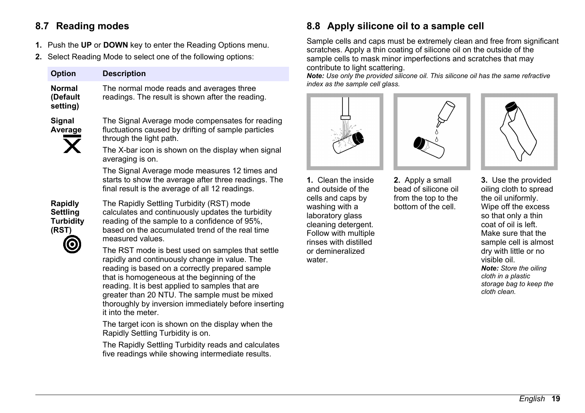### <span id="page-20-0"></span>**8.7 Reading modes**

- **1.** Push the **UP** or **DOWN** key to enter the Reading Options menu.
- **2.** Select Reading Mode to select one of the following options:

| <b>Option</b>                         | <b>Description</b>                                                                           |
|---------------------------------------|----------------------------------------------------------------------------------------------|
| <b>Normal</b><br>(Default<br>setting) | The normal mode reads and averages three<br>readings. The result is shown after the reading. |
| Signal                                | The Signal Average mode compensates for rea                                                  |

The Signal Average mode compensates for reading fluctuations caused by drifting of sample particles through the light path.

The X-bar icon is shown on the display when signal averaging is on.

The Signal Average mode measures 12 times and starts to show the average after three readings. The final result is the average of all 12 readings.

**Rapidly Settling Turbidity (RST)**

**Average**



The Rapidly Settling Turbidity (RST) mode calculates and continuously updates the turbidity reading of the sample to a confidence of 95%, based on the accumulated trend of the real time measured values.

The RST mode is best used on samples that settle rapidly and continuously change in value. The reading is based on a correctly prepared sample that is homogeneous at the beginning of the reading. It is best applied to samples that are greater than 20 NTU. The sample must be mixed thoroughly by inversion immediately before inserting it into the meter.

The target icon is shown on the display when the Rapidly Settling Turbidity is on.

The Rapidly Settling Turbidity reads and calculates five readings while showing intermediate results.

#### **8.8 Apply silicone oil to a sample cell**

Sample cells and caps must be extremely clean and free from significant scratches. Apply a thin coating of silicone oil on the outside of the sample cells to mask minor imperfections and scratches that may contribute to light scattering.

*Note: Use only the provided silicone oil. This silicone oil has the same refractive index as the sample cell glass.*



**1.** Clean the inside and outside of the cells and caps by washing with a laboratory glass cleaning detergent. Follow with multiple rinses with distilled or demineralized

water.



**2.** Apply a small bead of silicone oil from the top to the bottom of the cell.



**3.** Use the provided oiling cloth to spread the oil uniformly. Wipe off the excess so that only a thin coat of oil is left. Make sure that the sample cell is almost dry with little or no visible oil. *Note: Store the oiling cloth in a plastic storage bag to keep the cloth clean.*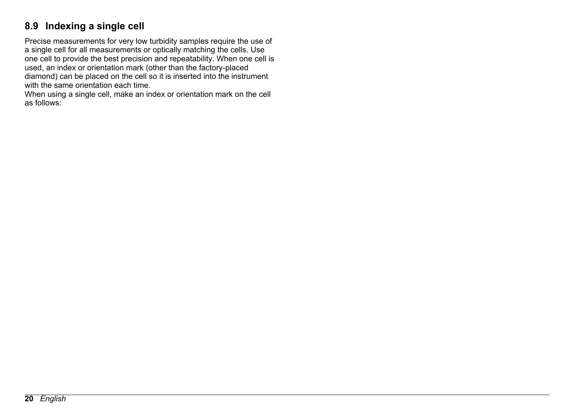#### <span id="page-21-0"></span>**8.9 Indexing a single cell**

Precise measurements for very low turbidity samples require the use of a single cell for all measurements or optically matching the cells. Use one cell to provide the best precision and repeatability. When one cell is used, an index or orientation mark (other than the factory-placed diamond) can be placed on the cell so it is inserted into the instrument with the same orientation each time.

When using a single cell, make an index or orientation mark on the cell as follows: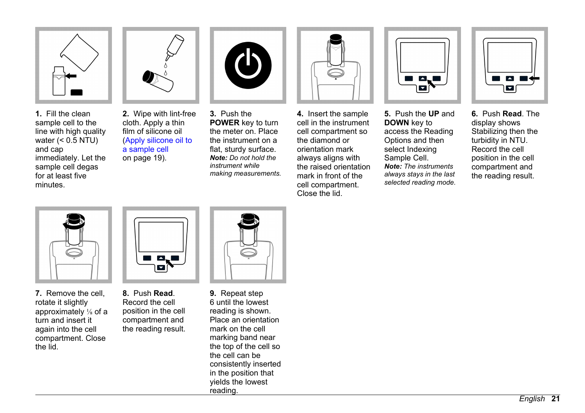

**1.** Fill the clean sample cell to the line with high quality water  $( $0.5 \text{ NTU}$ )$ and cap immediately. Let the sample cell degas for at least five minutes.



**2.** Wipe with lint-free cloth. Apply a thin film of silicone oil [\(Apply silicone oil to](#page-20-0) [a sample cell](#page-20-0) on page 19).



**3.** Push the **POWER** key to turn the meter on. Place the instrument on a flat, sturdy surface. *Note: Do not hold the instrument while making measurements.*



**4.** Insert the sample cell in the instrument cell compartment so the diamond or orientation mark always aligns with the raised orientation mark in front of the cell compartment. Close the lid.



**5.** Push the **UP** and **DOWN** key to access the Reading Options and then select Indexing Sample Cell. *Note: The instruments always stays in the last selected reading mode.*



**6.** Push **Read**. The display shows Stabilizing then the turbidity in NTU. Record the cell position in the cell compartment and the reading result.



**7.** Remove the cell, rotate it slightly approximately ⅛ of a turn and insert it again into the cell compartment. Close the lid.



**8.** Push **Read**. Record the cell position in the cell compartment and the reading result.



**9.** Repeat step 6 until the lowest reading is shown. Place an orientation mark on the cell marking band near the top of the cell so the cell can be consistently inserted in the position that yields the lowest reading.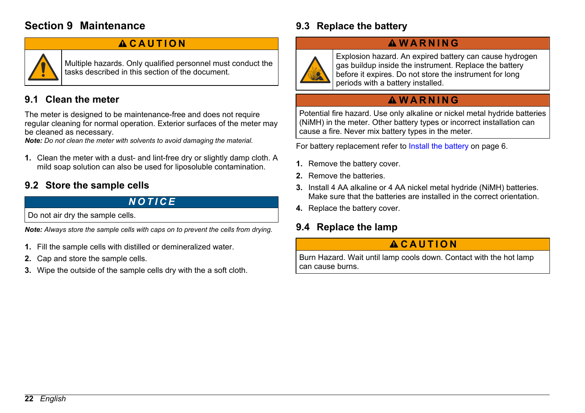# <span id="page-23-0"></span>**Section 9 Maintenance**



#### **C A U T I O N**

Multiple hazards. Only qualified personnel must conduct the tasks described in this section of the document.

#### **9.1 Clean the meter**

The meter is designed to be maintenance-free and does not require regular cleaning for normal operation. Exterior surfaces of the meter may be cleaned as necessary.

*Note: Do not clean the meter with solvents to avoid damaging the material.*

**1.** Clean the meter with a dust- and lint-free dry or slightly damp cloth. A mild soap solution can also be used for liposoluble contamination.

### **9.2 Store the sample cells**

### *N O T I C E*

Do not air dry the sample cells.

*Note: Always store the sample cells with caps on to prevent the cells from drying.*

- **1.** Fill the sample cells with distilled or demineralized water.
- **2.** Cap and store the sample cells.
- **3.** Wipe the outside of the sample cells dry with the a soft cloth.

## **9.3 Replace the battery**





Explosion hazard. An expired battery can cause hydrogen gas buildup inside the instrument. Replace the battery before it expires. Do not store the instrument for long periods with a battery installed.

## **W A R N I N G**

Potential fire hazard. Use only alkaline or nickel metal hydride batteries (NiMH) in the meter. Other battery types or incorrect installation can cause a fire. Never mix battery types in the meter.

For battery replacement refer to [Install the battery](#page-7-0) on page 6.

- **1.** Remove the battery cover.
- **2.** Remove the batteries.
- **3.** Install 4 AA alkaline or 4 AA nickel metal hydride (NiMH) batteries. Make sure that the batteries are installed in the correct orientation.
- **4.** Replace the battery cover.

### **9.4 Replace the lamp**

### **C A U T I O N**

Burn Hazard. Wait until lamp cools down. Contact with the hot lamp can cause burns.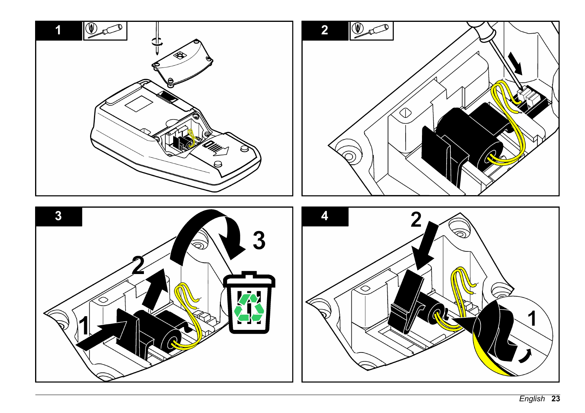





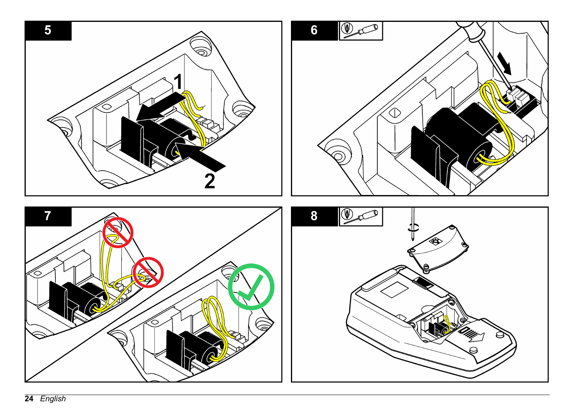





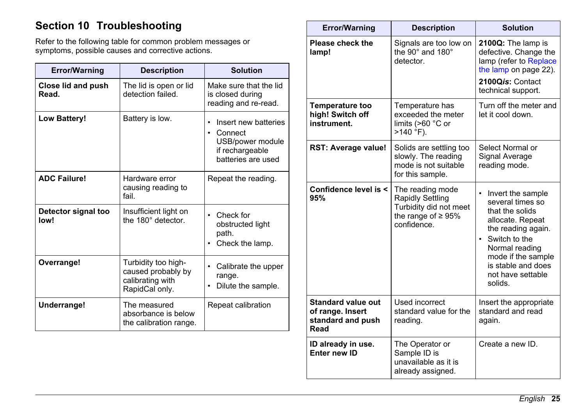# <span id="page-26-0"></span>**Section 10 Troubleshooting**

Refer to the following table for common problem messages or symptoms, possible causes and corrective actions.

| <b>Error/Warning</b>        | <b>Description</b>                                                              | <b>Solution</b>                                                                                           |
|-----------------------------|---------------------------------------------------------------------------------|-----------------------------------------------------------------------------------------------------------|
| Close lid and push<br>Read. | The lid is open or lid<br>detection failed.                                     | Make sure that the lid<br>is closed during<br>reading and re-read.                                        |
| Low Battery!                | Battery is low.                                                                 | Insert new batteries<br>$\bullet$<br>Connect<br>USB/power module<br>if rechargeable<br>batteries are used |
| <b>ADC Failure!</b>         | Hardware error<br>causing reading to<br>fail                                    | Repeat the reading.                                                                                       |
| Detector signal too<br>low! | Insufficient light on<br>the 180° detector                                      | Check for<br>obstructed light<br>path.<br>Check the lamp.                                                 |
| Overrange!                  | Turbidity too high-<br>caused probably by<br>calibrating with<br>RapidCal only. | Calibrate the upper<br>range.<br>Dilute the sample.<br>٠                                                  |
| Underrange!                 | The measured<br>absorbance is below<br>the calibration range.                   | Repeat calibration                                                                                        |

| <b>Error/Warning</b>                                                       | <b>Description</b>                                                                                               | <b>Solution</b>                                                                                                                                                                                                                |
|----------------------------------------------------------------------------|------------------------------------------------------------------------------------------------------------------|--------------------------------------------------------------------------------------------------------------------------------------------------------------------------------------------------------------------------------|
| Please check the<br>lamp!                                                  | Signals are too low on<br>the 90° and 180°<br>detector.                                                          | 2100Q: The lamp is<br>defective. Change the<br>lamp (refer to Replace<br>the lamp on page 22).<br>2100Qis: Contact<br>technical support.                                                                                       |
| <b>Temperature too</b><br>high! Switch off<br>instrument.                  | Temperature has<br>exceeded the meter<br>limits (>60 °C or<br>$>140$ °F).                                        | Turn off the meter and<br>let it cool down.                                                                                                                                                                                    |
| RST: Average value!                                                        | Solids are settling too<br>slowly. The reading<br>mode is not suitable<br>for this sample.                       | Select Normal or<br>Signal Average<br>reading mode.                                                                                                                                                                            |
| Confidence level is <<br>95%                                               | The reading mode<br><b>Rapidly Settling</b><br>Turbidity did not meet<br>the range of $\geq 95\%$<br>confidence. | Invert the sample<br>$\bullet$<br>several times so<br>that the solids<br>allocate. Repeat<br>the reading again.<br>Switch to the<br>Normal reading<br>mode if the sample<br>is stable and does<br>not have settable<br>solids. |
| <b>Standard value out</b><br>of range. Insert<br>standard and push<br>Read | Used incorrect<br>standard value for the<br>reading.                                                             | Insert the appropriate<br>standard and read<br>again.                                                                                                                                                                          |
| ID already in use.<br>Enter new ID                                         | The Operator or<br>Sample ID is<br>unavailable as it is<br>already assigned.                                     | Create a new ID.                                                                                                                                                                                                               |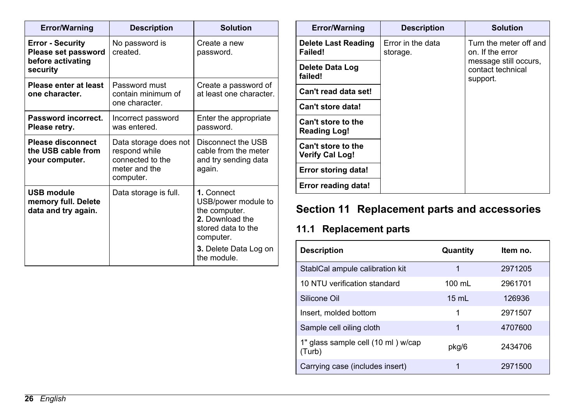<span id="page-27-0"></span>

| <b>Error/Warning</b>                                                            | <b>Description</b>                                                                       | Solution                                                                                                 |
|---------------------------------------------------------------------------------|------------------------------------------------------------------------------------------|----------------------------------------------------------------------------------------------------------|
| <b>Error - Security</b><br>Please set password<br>before activating<br>security | No password is<br>created.                                                               | Create a new<br>password.                                                                                |
| Please enter at least<br>one character.                                         | Password must<br>contain minimum of<br>one character.                                    | Create a password of<br>at least one character.                                                          |
| Password incorrect.<br>Please retry.                                            | Incorrect password<br>was entered.                                                       | Enter the appropriate<br>password.                                                                       |
| <b>Please disconnect</b><br>the USB cable from<br>your computer.                | Data storage does not<br>respond while<br>connected to the<br>meter and the<br>computer. | Disconnect the USB<br>cable from the meter<br>and try sending data<br>again.                             |
| <b>USB module</b><br>memory full. Delete<br>data and try again.                 | Data storage is full.                                                                    | 1. Connect<br>USB/power module to<br>the computer.<br>2. Download the<br>stored data to the<br>computer. |
|                                                                                 |                                                                                          | 3. Delete Data Log on<br>the module.                                                                     |

| <b>Error/Warning</b>                         | <b>Description</b>            | <b>Solution</b>                                        |
|----------------------------------------------|-------------------------------|--------------------------------------------------------|
| Delete Last Reading<br>Failed!               | Error in the data<br>storage. | Turn the meter off and<br>on. If the error             |
| Delete Data Log<br>failed!                   |                               | message still occurs,<br>contact technical<br>support. |
| Can't read data set!                         |                               |                                                        |
| Can't store data!                            |                               |                                                        |
| Can't store to the<br><b>Reading Log!</b>    |                               |                                                        |
| Can't store to the<br><b>Verify Cal Log!</b> |                               |                                                        |
| Error storing data!                          |                               |                                                        |
| Error reading data!                          |                               |                                                        |

# **Section 11 Replacement parts and accessories**

# **11.1 Replacement parts**

| <b>Description</b>                           | Quantity         | Item no. |
|----------------------------------------------|------------------|----------|
| StablCal ampule calibration kit              | 1                | 2971205  |
| 10 NTU verification standard                 | $100 \text{ ml}$ | 2961701  |
| Silicone Oil                                 | $15 \text{ ml}$  | 126936   |
| Insert. molded bottom                        | 1                | 2971507  |
| Sample cell oiling cloth                     | 1                | 4707600  |
| 1" glass sample cell (10 ml) w/cap<br>(Turb) | pkg/6            | 2434706  |
| Carrying case (includes insert)              | 1                | 2971500  |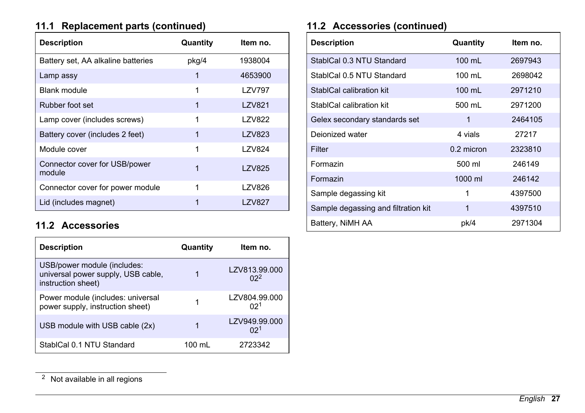### <span id="page-28-0"></span>**11.1 Replacement parts (continued)**

| <b>Description</b>                      | Quantity | Item no.      |
|-----------------------------------------|----------|---------------|
| Battery set, AA alkaline batteries      | pkg/4    | 1938004       |
| Lamp assy                               | 1        | 4653900       |
| Blank module                            | 1        | I 7V797       |
| Rubber foot set                         | 1        | <b>LZV821</b> |
| Lamp cover (includes screws)            | 1        | I 7V822       |
| Battery cover (includes 2 feet)         | 1        | <b>LZV823</b> |
| Module cover                            | 1        | I 7V824       |
| Connector cover for USB/power<br>module | 1        | <b>LZV825</b> |
| Connector cover for power module        | 1        | I 7V826       |
| Lid (includes magnet)                   |          | <b>LZV827</b> |

## **11.2 Accessories**

| <b>Description</b>                                                                      | Quantity | Item no.                         |
|-----------------------------------------------------------------------------------------|----------|----------------------------------|
| USB/power module (includes:<br>universal power supply, USB cable,<br>instruction sheet) |          | LZV813.99.000<br>02 <sup>2</sup> |
| Power module (includes: universal<br>power supply, instruction sheet)                   | 1        | LZV804.99.000<br>02 <sup>1</sup> |
| USB module with USB cable (2x)                                                          |          | LZV949.99.000<br>02 <sup>1</sup> |
| StablCal 0.1 NTU Standard                                                               | 100 ml   | 2723342                          |

### **11.2 Accessories (continued)**

| <b>Description</b>                  | Quantity         | Item no. |
|-------------------------------------|------------------|----------|
| StablCal 0.3 NTU Standard           | $100$ mL         | 2697943  |
| StablCal 0.5 NTU Standard           | $100 \text{ ml}$ | 2698042  |
| StablCal calibration kit            | $100 \text{ mL}$ | 2971210  |
| StablCal calibration kit            | 500 mL           | 2971200  |
| Gelex secondary standards set       | 1                | 2464105  |
| Dejonized water                     | 4 vials          | 27217    |
| Filter                              | $0.2$ micron     | 2323810  |
| Formazin                            | 500 ml           | 246149   |
| Formazin                            | 1000 ml          | 246142   |
| Sample degassing kit                | 1                | 4397500  |
| Sample degassing and filtration kit | 1                | 4397510  |
| Battery, NiMH AA                    | pk/4             | 2971304  |

<sup>2</sup> Not available in all regions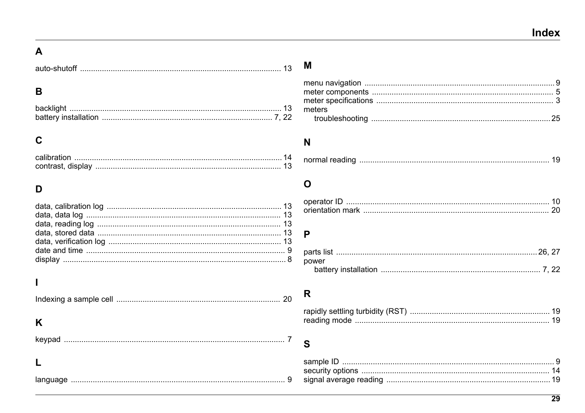# <span id="page-30-0"></span> $\blacktriangle$

|--|--|

# $\overline{\mathbf{B}}$

# $\mathbf c$

| calibration       |  |
|-------------------|--|
| contrast, display |  |

# D

#### $\begin{array}{c} \hline \end{array}$

|--|

# $\mathsf{K}$

## $\mathsf L$

|--|

### $\boldsymbol{\mathsf{M}}$

| meters |  |
|--------|--|
|        |  |

# $\overline{\mathsf{N}}$

|--|--|--|

# $\mathbf{o}$

| operator ID |  |
|-------------|--|
|             |  |

### $\mathsf{P}$

| power |  |
|-------|--|
|       |  |

# $\mathsf{R}$

# $\mathbf{s}$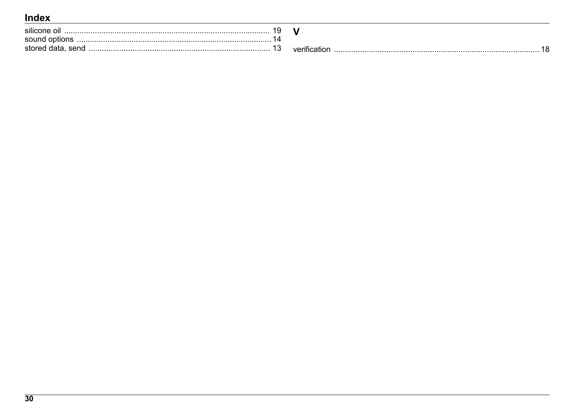### Index

| ~<br>2011 |  |
|-----------|--|
|           |  |